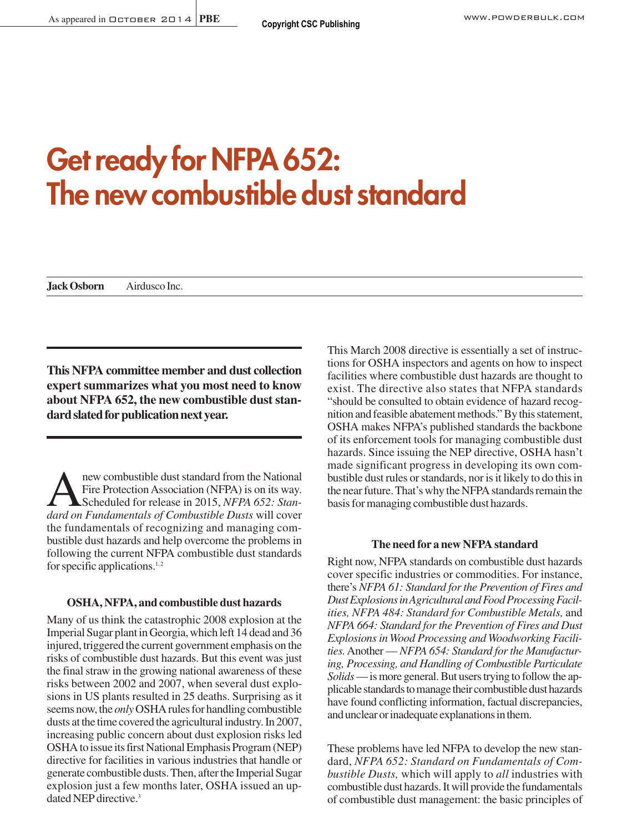# **Get ready for NFPA 652: The new combustible dust standard**

**Jack Osborn Airdusco Inc.** 

**This NFPA committee member and dust collection expert summarizes what you most need to know about NFPA 652, the new combustible dust standard slated for publication next year.**

new combustible dust standard from the National<br>Fire Protection Association (NFPA) is on its way.<br>Scheduled for release in 2015, NFPA 652: Stan-<br>dard on Fundamentals of Combustible Dusts will cover Fire Protection Association (NFPA) is on its way. Scheduled for release in 2015, *NFPA 652: Standard on Fundamentals of Combustible Dusts* will cover the fundamentals of recognizing and managing combustible dust hazards and help overcome the problems in following the current NFPA combustible dust standards for specific applications. $1, 2$ 

## **OSHA, NFPA, and combustible dust hazards**

Many of us think the catastrophic 2008 explosion at the Imperial Sugar plant in Georgia, which left 14 dead and 36 injured, triggered the current government emphasis on the risks of combustible dust hazards. But this event was just the final straw in the growing national awareness of these risks between 2002 and 2007, when several dust explosions in US plants resulted in 25 deaths. Surprising as it seems now, the *only*OSHA rules for handling combustible dusts at the time covered the agricultural industry. In 2007, increasing public concern about dust explosion risks led OSHA to issue its first National Emphasis Program (NEP) directive for facilities in various industries that handle or generate combustible dusts. Then, after the Imperial Sugar explosion just a few months later, OSHA issued an updated NEP directive.<sup>3</sup>

This March 2008 directive is essentially a set of instructions for OSHA inspectors and agents on how to inspect facilities where combustible dust hazards are thought to exist. The directive also states that NFPA standards "should be consulted to obtain evidence of hazard recognition and feasible abatement methods." By this statement, OSHA makes NFPA's published standards the backbone of its enforcement tools for managing combustible dust hazards. Since issuing the NEP directive, OSHA hasn't made significant progress in developing its own combustible dust rules or standards, nor is it likely to do this in the near future. That's why the NFPA standards remain the basis for managing combustible dust hazards.

#### **The need for a new NFPA standard**

Right now, NFPA standards on combustible dust hazards cover specific industries or commodities. For instance, there's *NFPA 61: Standard for the Prevention of Fires and Dust Explosions in Agricultural and Food Processing Facilities, NFPA 484: Standard for Combustible Metals,* and *NFPA 664: Standard for the Prevention of Fires and Dust Explosions in Wood Processing and Woodworking Facilities.*Another — *NFPA 654: Standard for the Manufacturing, Processing, and Handling of Combustible Particulate Solids*— is more general. But users trying to follow the applicable standards to manage their combustible dust hazards have found conflicting information, factual discrepancies, and unclear or inadequate explanations in them.

These problems have led NFPA to develop the new standard, *NFPA 652: Standard on Fundamentals of Combustible Dusts,* which will apply to *all* industries with combustible dust hazards. It will provide the fundamentals of combustible dust management: the basic principles of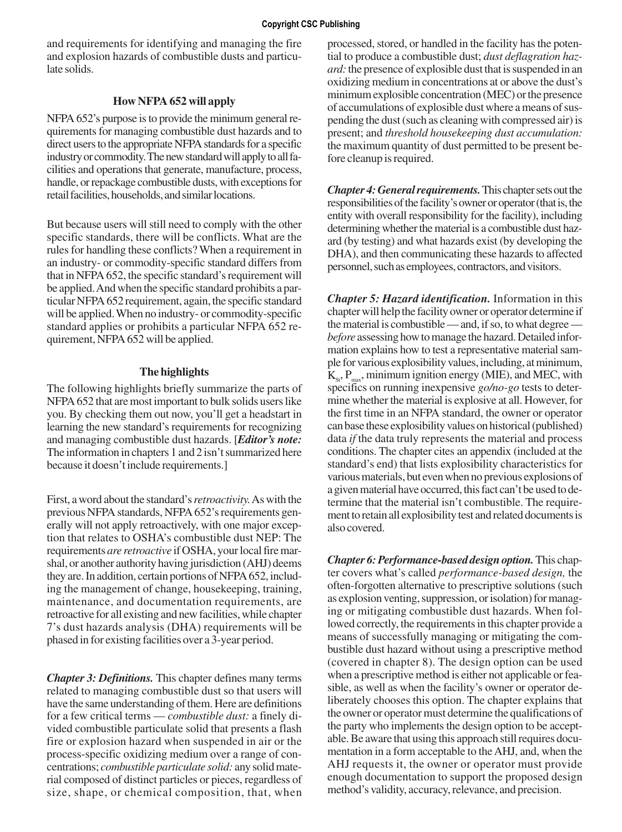and requirements for identifying and managing the fire and explosion hazards of combustible dusts and particulate solids.

# **How NFPA 652 will apply**

NFPA 652's purpose is to provide the minimum general requirements for managing combustible dust hazards and to direct users to the appropriate NFPA standards for a specific industry or commodity. The new standard will apply to all facilities and operations that generate, manufacture, process, handle, or repackage combustible dusts, with exceptions for retail facilities, households, and similar locations.

But because users will still need to comply with the other specific standards, there will be conflicts. What are the rules for handling these conflicts? When a requirement in an industry- or commodity-specific standard differs from that in NFPA 652, the specific standard's requirement will be applied. And when the specific standard prohibits a particular NFPA 652 requirement, again, the specific standard will be applied. When no industry- or commodity-specific standard applies or prohibits a particular NFPA 652 requirement, NFPA 652 will be applied.

# **The highlights**

The following highlights briefly summarize the parts of NFPA 652 that are most important to bulk solids users like you. By checking them out now, you'll get a headstart in learning the new standard's requirements for recognizing and managing combustible dust hazards. [*Editor's note:* The information in chapters 1 and 2 isn't summarized here because it doesn't include requirements.]

First, a word about the standard's *retroactivity.*As with the previous NFPA standards, NFPA 652's requirements generally will not apply retroactively, with one major exception that relates to OSHA's combustible dust NEP: The requirements *are retroactive* if OSHA, your local fire marshal, or another authority having jurisdiction (AHJ) deems they are. In addition, certain portions of NFPA 652, including the management of change, housekeeping, training, maintenance, and documentation requirements, are retroactive for all existing and new facilities, while chapter 7's dust hazards analysis (DHA) requirements will be phased in for existing facilities over a 3-year period.

*Chapter 3: Definitions.* This chapter defines many terms related to managing combustible dust so that users will have the same understanding of them. Here are definitions for a few critical terms — *combustible dust:* a finely divided combustible particulate solid that presents a flash fire or explosion hazard when suspended in air or the process-specific oxidizing medium over a range of concentrations; *combustible particulate solid:* any solid material composed of distinct particles or pieces, regardless of size, shape, or chemical composition, that, when processed, stored, or handled in the facility has the potential to produce a combustible dust; *dust deflagration hazard:* the presence of explosible dust that is suspended in an oxidizing medium in concentrations at or above the dust's minimum explosible concentration (MEC) or the presence of accumulations of explosible dust where a means of suspending the dust (such as cleaning with compressed air) is present; and *threshold housekeeping dust accumulation:* the maximum quantity of dust permitted to be present before cleanup is required.

*Chapter 4: General requirements.*This chapter sets out the responsibilities of the facility's owner or operator (that is, the entity with overall responsibility for the facility), including determining whether the material is a combustible dust hazard (by testing) and what hazards exist (by developing the DHA), and then communicating these hazards to affected personnel, such as employees, contractors, and visitors.

*Chapter 5: Hazard identification.* Information in this chapter will help the facility owner or operator determine if the material is combustible — and, if so, to what degree *before* assessing how to manage the hazard. Detailed information explains how to test a representative material sample for various explosibility values, including, at minimum,  $K_{s,t}$ ,  $P_{\text{max}}$ , minimum ignition energy (MIE), and MEC, with specifics on running inexpensive *go/no-go* tests to determine whether the material is explosive at all. However, for the first time in an NFPA standard, the owner or operator can base these explosibility values on historical (published) data *if* the data truly represents the material and process conditions. The chapter cites an appendix (included at the standard's end) that lists explosibility characteristics for various materials, but even when no previous explosions of a given material have occurred, this fact can't be used to determine that the material isn't combustible. The requirement to retain all explosibility test and related documents is also covered.

*Chapter 6: Performance-based design option.* This chapter covers what's called *performance-based design,* the often-forgotten alternative to prescriptive solutions (such as explosion venting, suppression, or isolation) for managing or mitigating combustible dust hazards. When followed correctly, the requirements in this chapter provide a means of successfully managing or mitigating the combustible dust hazard without using a prescriptive method (covered in chapter 8). The design option can be used when a prescriptive method is either not applicable or feasible, as well as when the facility's owner or operator deliberately chooses this option. The chapter explains that the owner or operator must determine the qualifications of the party who implements the design option to be acceptable. Be aware that using this approach still requires documentation in a form acceptable to the AHJ, and, when the AHJ requests it, the owner or operator must provide enough documentation to support the proposed design method's validity, accuracy, relevance, and precision.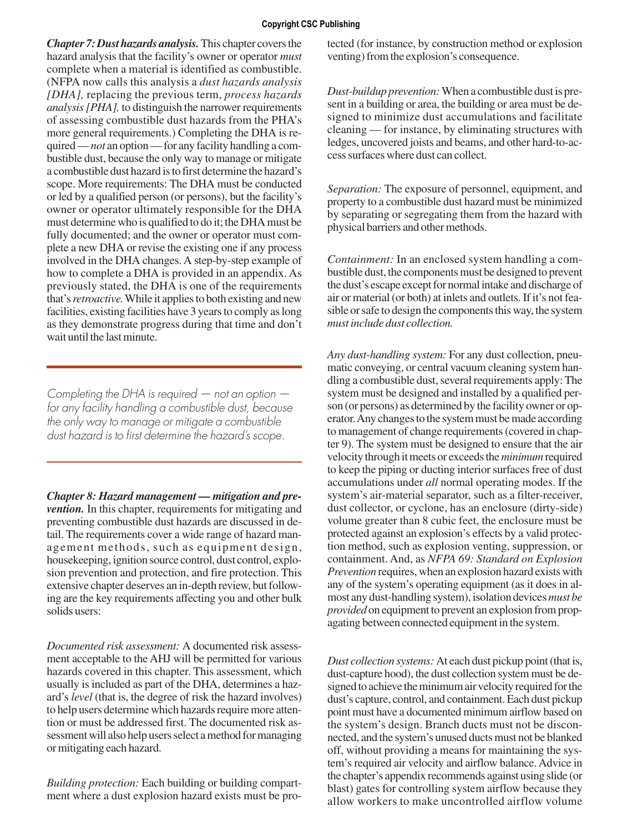#### **Copyright CSC Publishing**

*Chapter 7: Dust hazards analysis.* This chapter covers the hazard analysis that the facility's owner or operator *must* complete when a material is identified as combustible. (NFPA now calls this analysis a *dust hazards analysis [DHA],* replacing the previous term, *process hazards analysis [PHA],* to distinguish the narrower requirements of assessing combustible dust hazards from the PHA's more general requirements.) Completing the DHA is required — *not* an option — for any facility handling a combustible dust, because the only way to manage or mitigate a combustible dust hazard is to first determine the hazard's scope. More requirements: The DHA must be conducted or led by a qualified person (or persons), but the facility's owner or operator ultimately responsible for the DHA must determine who is qualified to do it; the DHA must be fully documented; and the owner or operator must complete a new DHA or revise the existing one if any process involved in the DHA changes. A step-by-step example of how to complete a DHA is provided in an appendix. As previously stated, the DHA is one of the requirements that's *retroactive.*While it applies to both existing and new facilities, existing facilities have 3 years to comply as long as they demonstrate progress during that time and don't wait until the last minute.

*Completing the DHA is required — not an option for any facility handling a combustible dust, because the only way to manage or mitigate a combustible dust hazard is to first determine the hazard's scope.*

*Chapter 8: Hazard management — mitigation and prevention.* In this chapter, requirements for mitigating and preventing combustible dust hazards are discussed in detail. The requirements cover a wide range of hazard management methods, such as equipment design, housekeeping, ignition source control, dust control, explosion prevention and protection, and fire protection. This extensive chapter deserves an in-depth review, but following are the key requirements affecting you and other bulk solids users:

*Documented risk assessment:* A documented risk assessment acceptable to the AHJ will be permitted for various hazards covered in this chapter. This assessment, which usually is included as part of the DHA, determines a hazard's *level* (that is, the degree of risk the hazard involves) to help users determine which hazards require more attention or must be addressed first. The documented risk assessment will also help users select a method for managing or mitigating each hazard.

*Building protection:* Each building or building compartment where a dust explosion hazard exists must be protected (for instance, by construction method or explosion venting) from the explosion's consequence.

*Dust-buildup prevention:* When a combustible dust is present in a building or area, the building or area must be designed to minimize dust accumulations and facilitate cleaning — for instance, by eliminating structures with ledges, uncovered joists and beams, and other hard-to-access surfaces where dust can collect.

*Separation:* The exposure of personnel, equipment, and property to a combustible dust hazard must be minimized by separating or segregating them from the hazard with physical barriers and other methods.

*Containment:* In an enclosed system handling a combustible dust, the components must be designed to prevent the dust's escape except for normal intake and discharge of air or material (or both) at inlets and outlets. If it's not feasible or safe to design the components this way, the system *must include dust collection.*

*Any dust-handling system:* For any dust collection, pneumatic conveying, or central vacuum cleaning system handling a combustible dust, several requirements apply: The system must be designed and installed by a qualified person (or persons) as determined by the facility owner or operator. Any changes to the system must be made according to management of change requirements (covered in chapter 9). The system must be designed to ensure that the air velocity through it meets or exceeds the *minimum*required to keep the piping or ducting interior surfaces free of dust accumulations under *all* normal operating modes. If the system's air-material separator, such as a filter-receiver, dust collector, or cyclone, has an enclosure (dirty-side) volume greater than 8 cubic feet, the enclosure must be protected against an explosion's effects by a valid protection method, such as explosion venting, suppression, or containment. And, as *NFPA 69: Standard on Explosion Prevention* requires, when an explosion hazard exists with any of the system's operating equipment (as it does in almost any dust-handling system), isolation devices *must be provided* on equipment to prevent an explosion from propagating between connected equipment in the system.

*Dust collection systems:* At each dust pickup point (that is, dust-capture hood), the dust collection system must be designed to achieve the minimum air velocity required for the dust's capture, control, and containment. Each dust pickup point must have a documented minimum airflow based on the system's design. Branch ducts must not be disconnected, and the system's unused ducts must not be blanked off, without providing a means for maintaining the system's required air velocity and airflow balance. Advice in the chapter's appendix recommends against using slide (or blast) gates for controlling system airflow because they allow workers to make uncontrolled airflow volume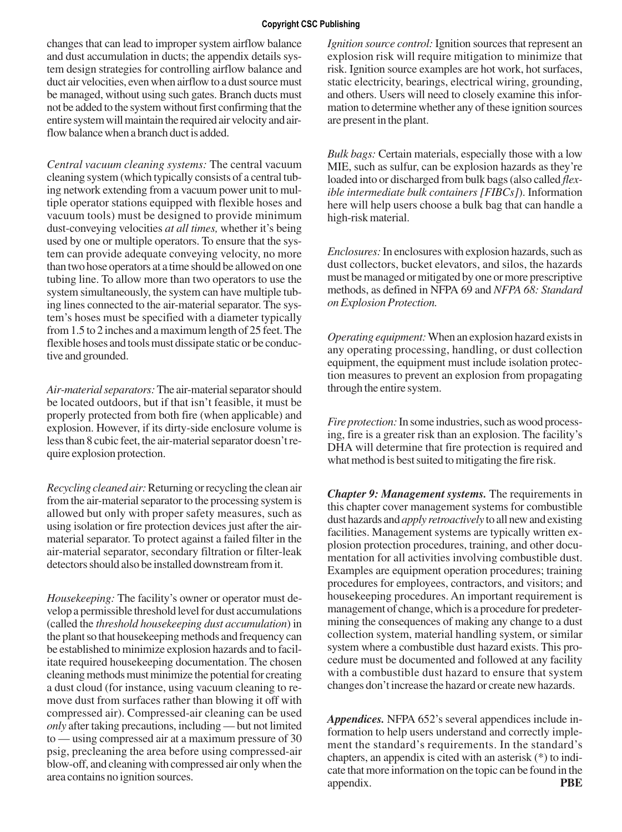#### **Copyright CSC Publishing**

changes that can lead to improper system airflow balance and dust accumulation in ducts; the appendix details system design strategies for controlling airflow balance and duct air velocities, even when airflow to a dust source must be managed, without using such gates. Branch ducts must not be added to the system without first confirming that the entire system will maintain the required air velocity and airflow balance when a branch duct is added.

*Central vacuum cleaning systems:* The central vacuum cleaning system (which typically consists of a central tubing network extending from a vacuum power unit to multiple operator stations equipped with flexible hoses and vacuum tools) must be designed to provide minimum dust-conveying velocities *at all times,* whether it's being used by one or multiple operators. To ensure that the system can provide adequate conveying velocity, no more than two hose operators at a time should be allowed on one tubing line. To allow more than two operators to use the system simultaneously, the system can have multiple tubing lines connected to the air-material separator. The system's hoses must be specified with a diameter typically from 1.5 to 2 inches and a maximum length of 25 feet. The flexible hoses and tools must dissipate static or be conductive and grounded.

*Air-material separators:* The air-material separator should be located outdoors, but if that isn't feasible, it must be properly protected from both fire (when applicable) and explosion. However, if its dirty-side enclosure volume is less than 8 cubic feet, the air-material separator doesn't require explosion protection.

*Recycling cleaned air:* Returning or recycling the clean air from the air-material separator to the processing system is allowed but only with proper safety measures, such as using isolation or fire protection devices just after the airmaterial separator. To protect against a failed filter in the air-material separator, secondary filtration or filter-leak detectors should also be installed downstream from it.

*Housekeeping:* The facility's owner or operator must develop a permissible threshold level for dust accumulations (called the *threshold housekeeping dust accumulation*) in the plant so that housekeeping methods and frequency can be established to minimize explosion hazards and to facilitate required housekeeping documentation. The chosen cleaning methods must minimize the potential for creating a dust cloud (for instance, using vacuum cleaning to remove dust from surfaces rather than blowing it off with compressed air). Compressed-air cleaning can be used *only* after taking precautions, including — but not limited to — using compressed air at a maximum pressure of 30 psig, precleaning the area before using compressed-air blow-off, and cleaning with compressed air only when the area contains no ignition sources.

*Ignition source control:* Ignition sources that represent an explosion risk will require mitigation to minimize that risk. Ignition source examples are hot work, hot surfaces, static electricity, bearings, electrical wiring, grounding, and others. Users will need to closely examine this information to determine whether any of these ignition sources are present in the plant.

*Bulk bags:* Certain materials, especially those with a low MIE, such as sulfur, can be explosion hazards as they're loaded into or discharged from bulk bags (also called *flexible intermediate bulk containers [FIBCs]*). Information here will help users choose a bulk bag that can handle a high-risk material.

*Enclosures:* In enclosures with explosion hazards, such as dust collectors, bucket elevators, and silos, the hazards must be managed or mitigated by one or more prescriptive methods, as defined in NFPA 69 and *NFPA 68: Standard on Explosion Protection.*

*Operating equipment:* When an explosion hazard exists in any operating processing, handling, or dust collection equipment, the equipment must include isolation protection measures to prevent an explosion from propagating through the entire system.

*Fire protection:* In some industries, such as wood processing, fire is a greater risk than an explosion. The facility's DHA will determine that fire protection is required and what method is best suited to mitigating the fire risk.

*Chapter 9: Management systems.* The requirements in this chapter cover management systems for combustible dust hazards and *apply retroactively* to all new and existing facilities. Management systems are typically written explosion protection procedures, training, and other documentation for all activities involving combustible dust. Examples are equipment operation procedures; training procedures for employees, contractors, and visitors; and housekeeping procedures. An important requirement is management of change, which is a procedure for predetermining the consequences of making any change to a dust collection system, material handling system, or similar system where a combustible dust hazard exists. This procedure must be documented and followed at any facility with a combustible dust hazard to ensure that system changes don't increase the hazard or create new hazards.

*Appendices.* NFPA 652's several appendices include information to help users understand and correctly implement the standard's requirements. In the standard's chapters, an appendix is cited with an asterisk (\*) to indicate that more information on the topic can be found in the appendix. **PBE**